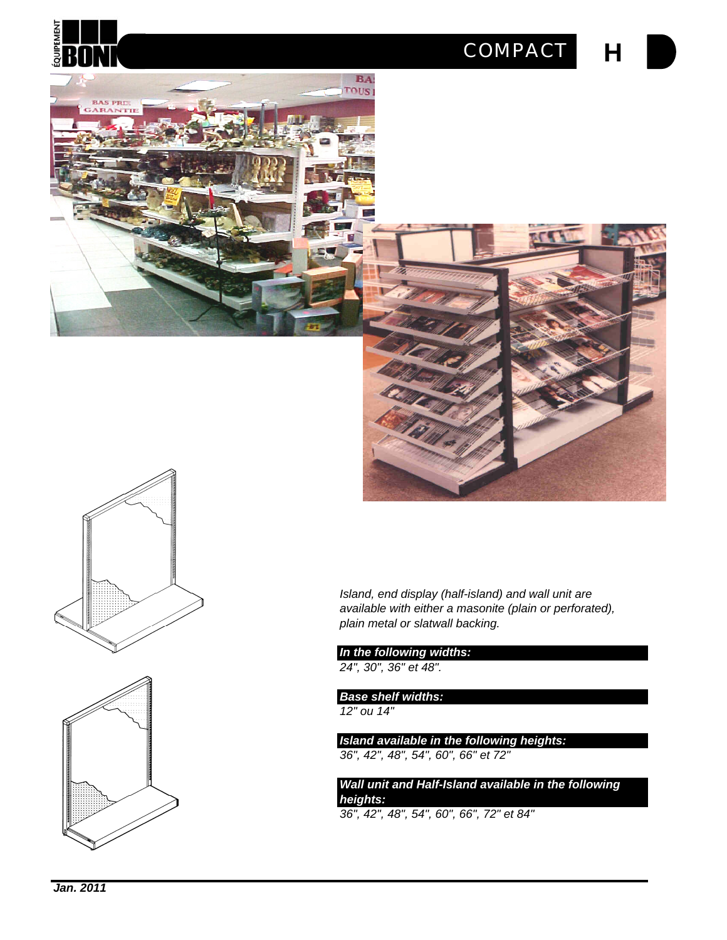

### *COMPACT*

**H**







*Island, end display (half-island) and wall unit are available with either a masonite (plain or perforated), plain metal or slatwall backing.*

*In the following widths:*

*24", 30", 36" et 48".* 

*Base shelf widths:*

*12" ou 14"*

*Island available in the following heights: 36", 42", 48", 54", 60", 66" et 72"*

*Wall unit and Half-Island available in the following heights:*

*36", 42", 48", 54", 60", 66", 72" et 84"*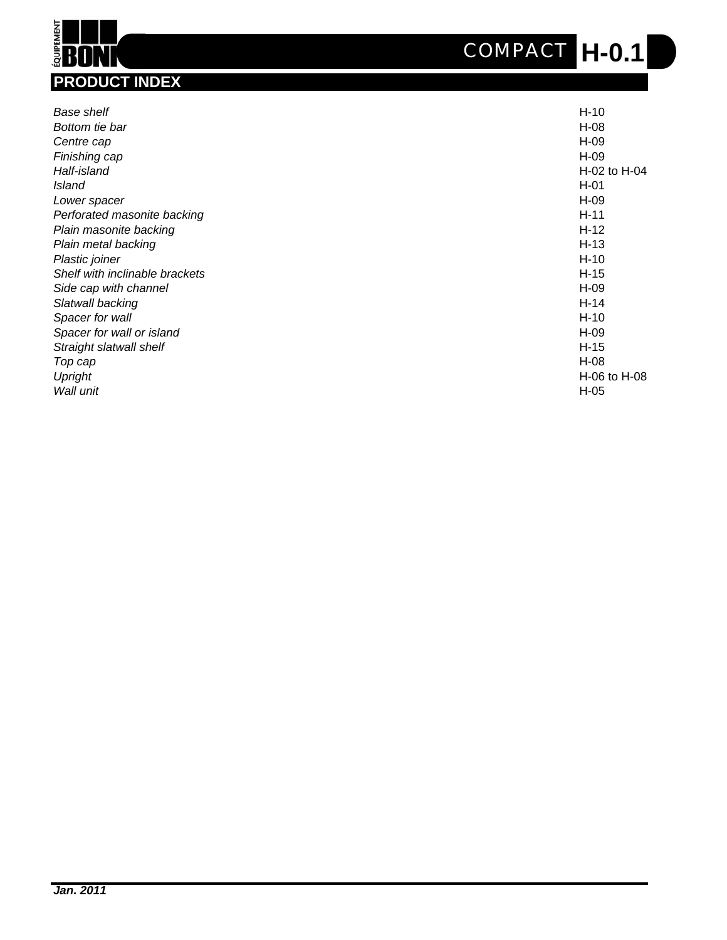## **H-0.1** *COMPACT*



| Base shelf                     | $H-10$       |
|--------------------------------|--------------|
| Bottom tie bar                 | H-08         |
| Centre cap                     | H-09         |
| Finishing cap                  | H-09         |
| Half-island                    | H-02 to H-04 |
| Island                         | $H-01$       |
| Lower spacer                   | H-09         |
| Perforated masonite backing    | $H-11$       |
| Plain masonite backing         | $H-12$       |
| Plain metal backing            | $H-13$       |
| Plastic joiner                 | $H-10$       |
| Shelf with inclinable brackets | $H-15$       |
| Side cap with channel          | H-09         |
| Slatwall backing               | $H-14$       |
| Spacer for wall                | $H-10$       |
| Spacer for wall or island      | H-09         |
| Straight slatwall shelf        | H-15         |
| Top cap                        | H-08         |
| Upright                        | H-06 to H-08 |
| Wall unit                      | H-05         |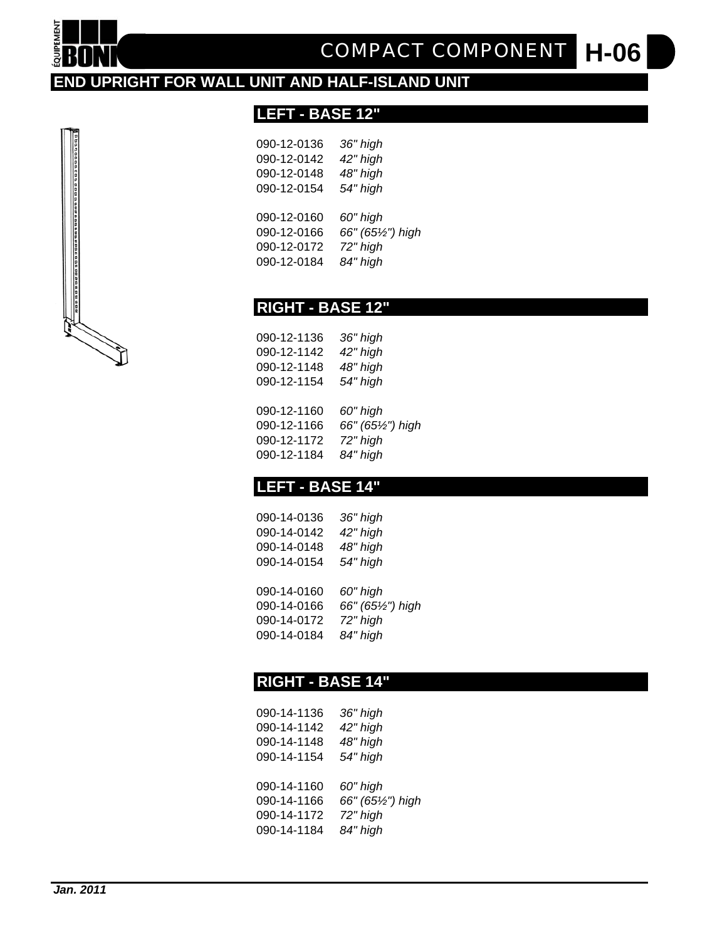

**H-06** *COMPACT COMPONENT*

#### **END UPRIGHT FOR WALL UNIT AND HALF-ISLAND UNIT**

#### **LEFT - BASE 12"**

| 090-12-0136 | 36" high          |
|-------------|-------------------|
| 090-12-0142 | 42" high          |
| 090-12-0148 | 48" high          |
| 090-12-0154 | 54" high          |
|             |                   |
| 090-12-0160 | 60" high          |
| 090-12-0166 | 66" (651/2") high |
| 090-12-0172 | 72" high          |
| 090-12-0184 | 84" high          |
|             |                   |

#### **RIGHT - BASE 12"**

| 090-12-1136 | 36" high   |
|-------------|------------|
| 090-12-1142 | 42" high   |
| 090-12-1148 | 48" high   |
| 090-12-1154 | 54" high   |
| 090-12-1160 | 60" high   |
| 090-12-1166 | 66" (65½") |

| 090-12-1166 | 66" (65½") high |
|-------------|-----------------|
| 090-12-1172 | 72" high        |
| 090-12-1184 | 84" high        |

#### **LEFT - BASE 14"**

| 090-14-0136 | 36" high          |
|-------------|-------------------|
| 090-14-0142 | 42" high          |
| 090-14-0148 | 48" high          |
| 090-14-0154 | 54" high          |
|             |                   |
| 090-14-0160 | 60" high          |
| 090-14-0166 | 66" (651/2") high |
| 090-14-0172 | 72" high          |
| 090-14-0184 | 84" high          |
|             |                   |

#### **RIGHT - BASE 14"**

| 090-14-1136 | 36" high          |
|-------------|-------------------|
| 090-14-1142 | 42" high          |
| 090-14-1148 | 48" high          |
| 090-14-1154 | 54" high          |
|             |                   |
| 090-14-1160 | 60" high          |
| 090-14-1166 | 66" (651/2") high |
| 090-14-1172 | 72" high          |
| 090-14-1184 | 84" high          |
|             |                   |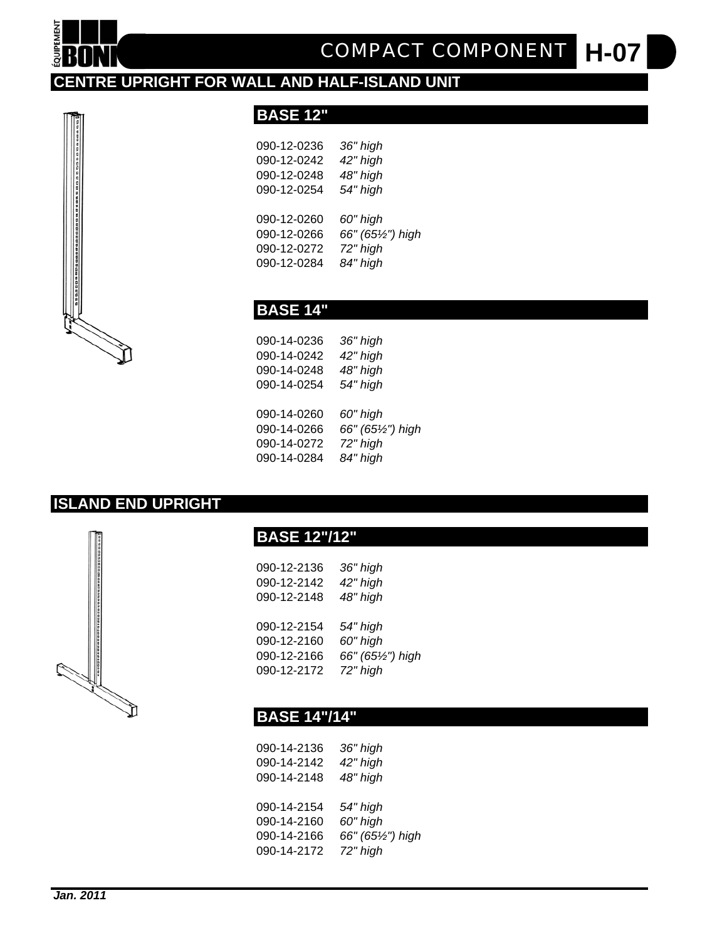

**H-07** *COMPACT COMPONENT*

#### **CENTRE UPRIGHT FOR WALL AND HALF-ISLAND UNIT**



#### **BASE 12"**

| 090-12-0236 | 36" high          |
|-------------|-------------------|
| 090-12-0242 | 42" high          |
| 090-12-0248 | 48" high          |
| 090-12-0254 | 54" high          |
|             |                   |
| 090-12-0260 | 60" high          |
| 090-12-0266 | 66" (651/2") high |
| 090-12-0272 | 72" high          |
| 090-12-0284 | 84" high          |
|             |                   |

#### **BASE 14"**

| 090-14-0236 | 36" high          |
|-------------|-------------------|
| 090-14-0242 | 42" high          |
| 090-14-0248 | 48" high          |
| 090-14-0254 | 54" high          |
|             |                   |
| 090-14-0260 | 60" high          |
| 090-14-0266 | 66" (651/2") high |
| 090-14-0272 | 72" high          |
| 090-14-0284 | 84" high          |
|             |                   |

#### **ISLAND END UPRIGHT**



#### **BASE 12"/12"**

| 090-12-2136<br>090-12-2142 | 36" high<br>42" high |
|----------------------------|----------------------|
| 090-12-2148                | 48" high             |
| 090-12-2154                | 54" high             |
| 090-12-2160                | 60" high             |
| 090-12-2166                | 66" (65½") high      |
| 090-12-2172                | 72" high             |

#### **BASE 14"/14"**

| 090-14-2136<br>090-14-2142<br>090-14-2148 | 36" high<br>42" high<br>48" high |
|-------------------------------------------|----------------------------------|
| 090-14-2154                               | 54" high                         |
| 090-14-2160                               | 60" high                         |
| 090-14-2166                               | 66" (651/2") high                |
| 090-14-2172                               | 72" high                         |
|                                           |                                  |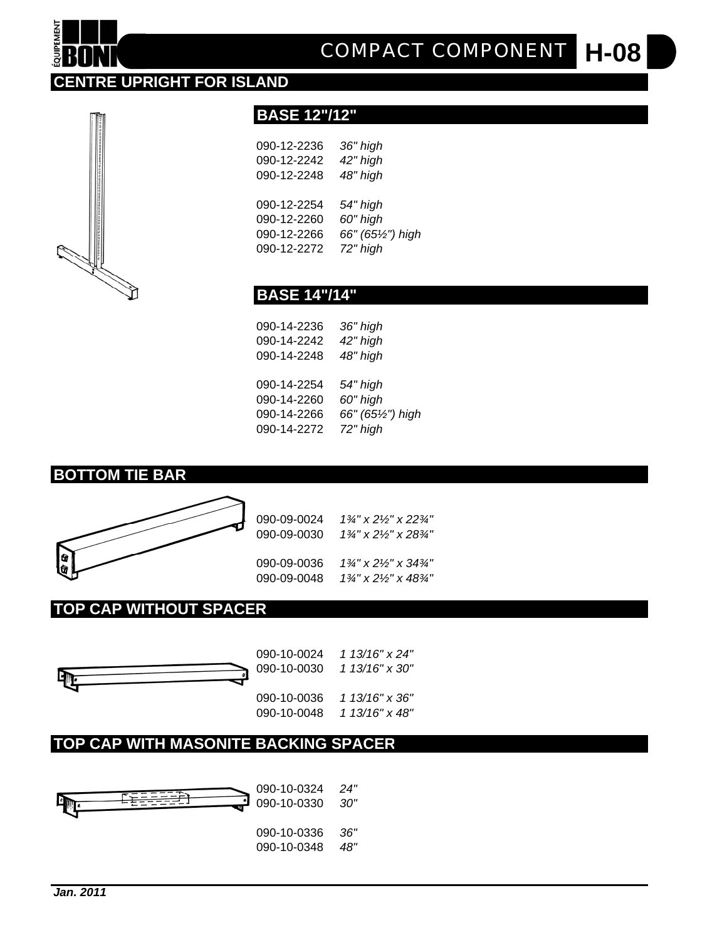#### *Jan. 2011*



#### **TOP CAP WITH MASONITE BACKING SPACER**



| 090-10-0030 | 1 13/16" x 30" |
|-------------|----------------|
| 090-10-0036 | 1 13/16" x 36" |

090-10-0024 *1 13/16" x 24"*

#### **TOP CAP WITHOUT SPACER**



**BOTTOM TIE BAR**

| 090-09-0024 | 1¾" x 2½" x 22¾' |
|-------------|------------------|
| 090-09-0030 | 1¾" x 2½" x 28¾" |
|             |                  |

090-09-0036 *1¾" x 2½" x 34¾"* 090-09-0048 *1¾" x 2½" x 48¾"*

| 090-09-0024 $1\frac{3}{4}$ " x 2 $\frac{1}{2}$ " x 22 |
|-------------------------------------------------------|

| 9-0024 | 1¾" x 2½" x 22¾" |
|--------|------------------|



|                      | 090-14-2266 66" (65½") high |
|----------------------|-----------------------------|
| 090-14-2272 72" high |                             |
|                      |                             |

090-14-2254 *54" high* 090-14-2260 *60" high*

| 090-14-2236<br>36" high<br>090-14-2242<br>42" high<br>090-14-2248<br>48" high |  |
|-------------------------------------------------------------------------------|--|

| <b>BASE 14"/14"</b> |  |
|---------------------|--|

## 090-12-2236 *36" high* 090-12-2242 *42" high* 090-12-2248 *48" high*

090-12-2254 *54" high*

090-12-2260 *60" high*

090-12-2266 *66" (65½") high*

**BASE 12"/12"**

**H-08** *COMPACT COMPONENT*

**OUIPEMENT** 

**CENTRE UPRIGHT FOR ISLAND**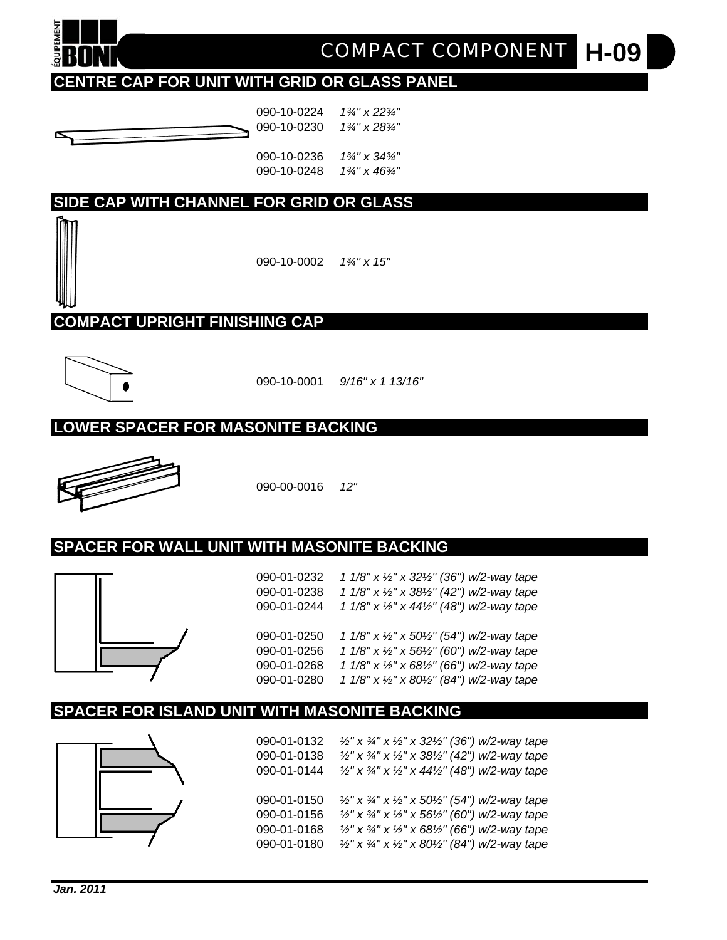

**H-09** *COMPACT COMPONENT*

#### **CENTRE CAP FOR UNIT WITH GRID OR GLASS PANEL**



090-10-0224 *1¾" x 22¾"* 090-10-0230 *1¾" x 28¾"*

090-10-0236 *1¾" x 34¾"* 090-10-0248 *1¾" x 46¾"*

#### **SIDE CAP WITH CHANNEL FOR GRID OR GLASS**

090-10-0002 *1¾" x 15"*

**COMPACT UPRIGHT FINISHING CAP**



090-10-0001 *9/16" x 1 13/16"*

#### **LOWER SPACER FOR MASONITE BACKING**



090-00-0016 *12"*

#### **SPACER FOR WALL UNIT WITH MASONITE BACKING**



090-01-0232 *1 1/8" x ½" x 32½" (36") w/2-way tape* 090-01-0238 *1 1/8" x ½" x 38½" (42") w/2-way tape* 090-01-0244 *1 1/8" x ½" x 44½" (48") w/2-way tape* 090-01-0250 *1 1/8" x ½" x 50½" (54") w/2-way tape* 090-01-0256 *1 1/8" x ½" x 56½" (60") w/2-way tape* 090-01-0268 *1 1/8" x ½" x 68½" (66") w/2-way tape* 090-01-0280 *1 1/8" x ½" x 80½" (84") w/2-way tape*

#### **SPACER FOR ISLAND UNIT WITH MASONITE BACKING**



090-01-0132 *½" x ¾" x ½" x 32½" (36") w/2-way tape* 090-01-0138 *½" x ¾" x ½" x 38½" (42") w/2-way tape* 090-01-0144 *½" x ¾" x ½" x 44½" (48") w/2-way tape* 090-01-0150 *½" x ¾" x ½" x 50½" (54") w/2-way tape* 090-01-0156 *½" x ¾" x ½" x 56½" (60") w/2-way tape* 090-01-0168 *½" x ¾" x ½" x 68½" (66") w/2-way tape* 090-01-0180 *½" x ¾" x ½" x 80½" (84") w/2-way tape*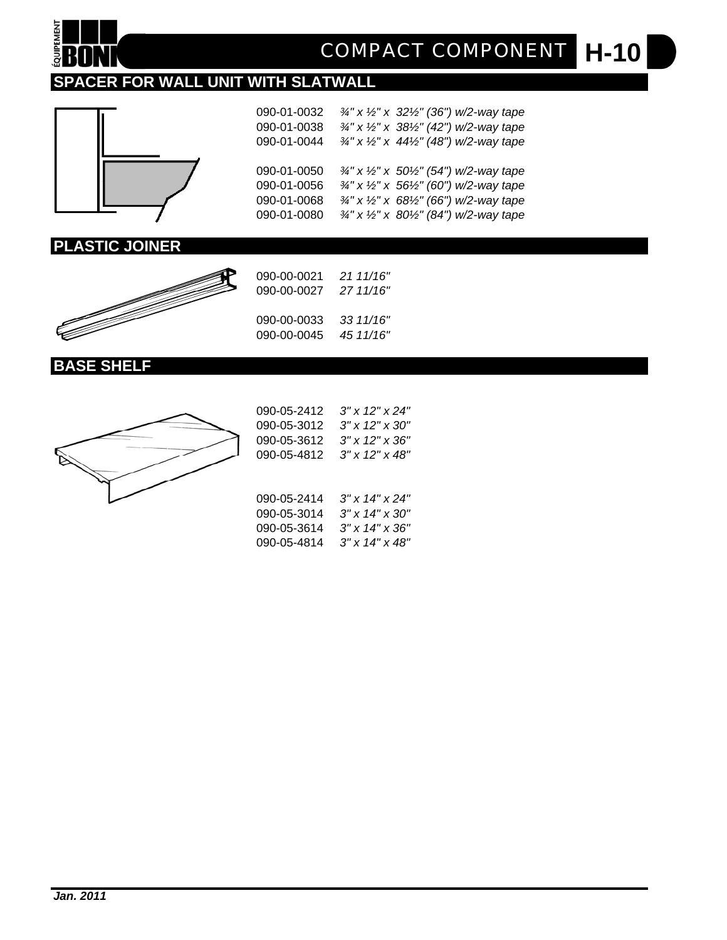

**H-10** *COMPACT COMPONENT*

#### **SPACER FOR WALL UNIT WITH SLATWALL**



090-01-0032 *¾" x ½" x 32½" (36") w/2-way tape* 090-01-0038 *¾" x ½" x 38½" (42") w/2-way tape* 090-01-0044 *¾" x ½" x 44½" (48") w/2-way tape* 090-01-0050 *¾" x ½" x 50½" (54") w/2-way tape* 090-01-0056 *¾" x ½" x 56½" (60") w/2-way tape* 090-01-0068 *¾" x ½" x 68½" (66") w/2-way tape* 090-01-0080 *¾" x ½" x 80½" (84") w/2-way tape*

#### **PLASTIC JOINER**



| 090-00-0021 | 21 11/16" |
|-------------|-----------|
| 090-00-0027 | 27 11/16" |
| 090-00-0033 | 33 11/16" |
| 090-00-0045 | 45 11/16" |

#### **BASE SHELF**



| 090-05-2412 | $3''$ x 12" x 24"       |
|-------------|-------------------------|
| 090-05-3012 | $3''$ x $12''$ x $30''$ |
| 090-05-3612 | $3''$ x 12" x 36"       |
| 090-05-4812 | $3''$ x $12''$ x $48''$ |
|             |                         |
|             |                         |
| 090-05-2414 | 3" x 14" x 24"          |
| 090-05-3014 | $3''$ x $14''$ x $30''$ |
| 090-05-3614 | $3''$ x $14''$ x $36''$ |
| 090-05-4814 | $3''$ x $14''$ x $48''$ |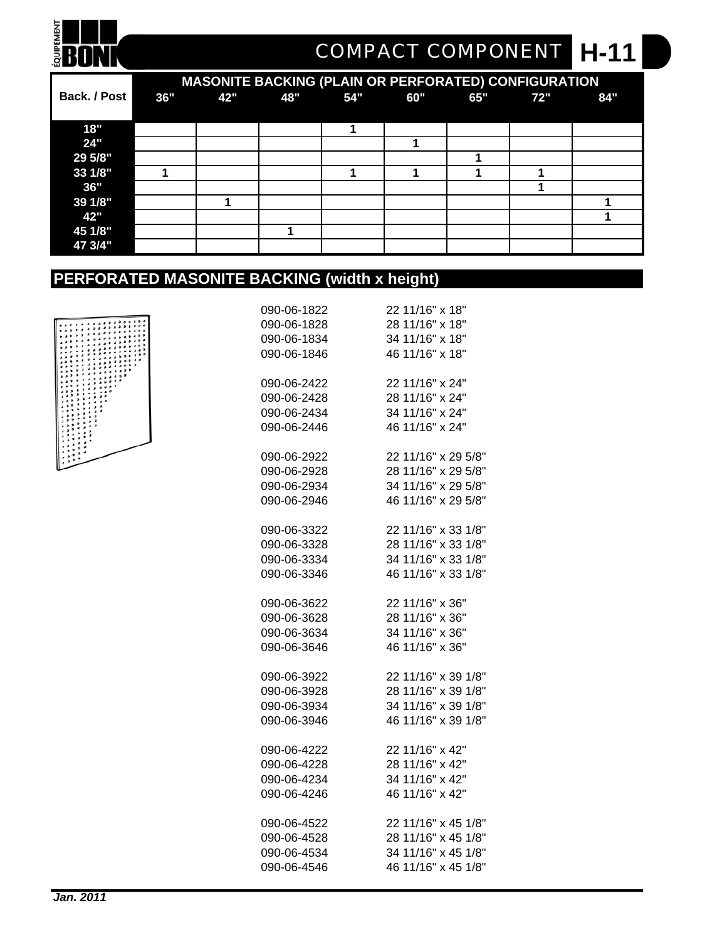# **ENDI**

## **H-11** *COMPACT COMPONENT*

|              |     | <b>MASONITE BACKING (PLAIN OR PERFORATED) CONFIGURATION</b> |     |     |     |     |     |     |
|--------------|-----|-------------------------------------------------------------|-----|-----|-----|-----|-----|-----|
| Back. / Post | 36" | 42"                                                         | 48" | 54" | 60" | 65" | 72" | 84" |
|              |     |                                                             |     |     |     |     |     |     |
| 18"          |     |                                                             |     |     |     |     |     |     |
| 24"          |     |                                                             |     |     |     |     |     |     |
| 29 5/8"      |     |                                                             |     |     |     |     |     |     |
| 33 1/8"      |     |                                                             |     |     |     |     |     |     |
| 36"          |     |                                                             |     |     |     |     |     |     |
| 39 1/8"      |     |                                                             |     |     |     |     |     |     |
| 42"          |     |                                                             |     |     |     |     |     |     |
| 45 1/8"      |     |                                                             |     |     |     |     |     |     |
| 47 3/4"      |     |                                                             |     |     |     |     |     |     |

### **PERFORATED MASONITE BACKING (width x height)**



| 090-06-1822 | 22 11/16" x 18"     |
|-------------|---------------------|
| 090-06-1828 | 28 11/16" x 18"     |
| 090-06-1834 | 34 11/16" x 18"     |
| 090-06-1846 | 46 11/16" x 18"     |
| 090-06-2422 | 22 11/16" x 24"     |
| 090-06-2428 | 28 11/16" x 24"     |
| 090-06-2434 | 34 11/16" x 24"     |
| 090-06-2446 | 46 11/16" x 24"     |
| 090-06-2922 | 22 11/16" x 29 5/8" |
| 090-06-2928 | 28 11/16" x 29 5/8" |
| 090-06-2934 | 34 11/16" x 29 5/8" |
| 090-06-2946 | 46 11/16" x 29 5/8" |
| 090-06-3322 | 22 11/16" x 33 1/8" |
| 090-06-3328 | 28 11/16" x 33 1/8" |
| 090-06-3334 | 34 11/16" x 33 1/8" |
| 090-06-3346 | 46 11/16" x 33 1/8" |
| 090-06-3622 | 22 11/16" x 36"     |
| 090-06-3628 | 28 11/16" x 36"     |
| 090-06-3634 | 34 11/16" x 36"     |
| 090-06-3646 | 46 11/16" x 36"     |
| 090-06-3922 | 22 11/16" x 39 1/8" |
| 090-06-3928 | 28 11/16" x 39 1/8" |
| 090-06-3934 | 34 11/16" x 39 1/8" |
| 090-06-3946 | 46 11/16" x 39 1/8" |
| 090-06-4222 | 22 11/16" x 42"     |
| 090-06-4228 | 28 11/16" x 42"     |
| 090-06-4234 | 34 11/16" x 42"     |
| 090-06-4246 | 46 11/16" x 42"     |
| 090-06-4522 | 22 11/16" x 45 1/8" |
| 090-06-4528 | 28 11/16" x 45 1/8" |
| 090-06-4534 | 34 11/16" x 45 1/8" |
| 090-06-4546 | 46 11/16" x 45 1/8" |
|             |                     |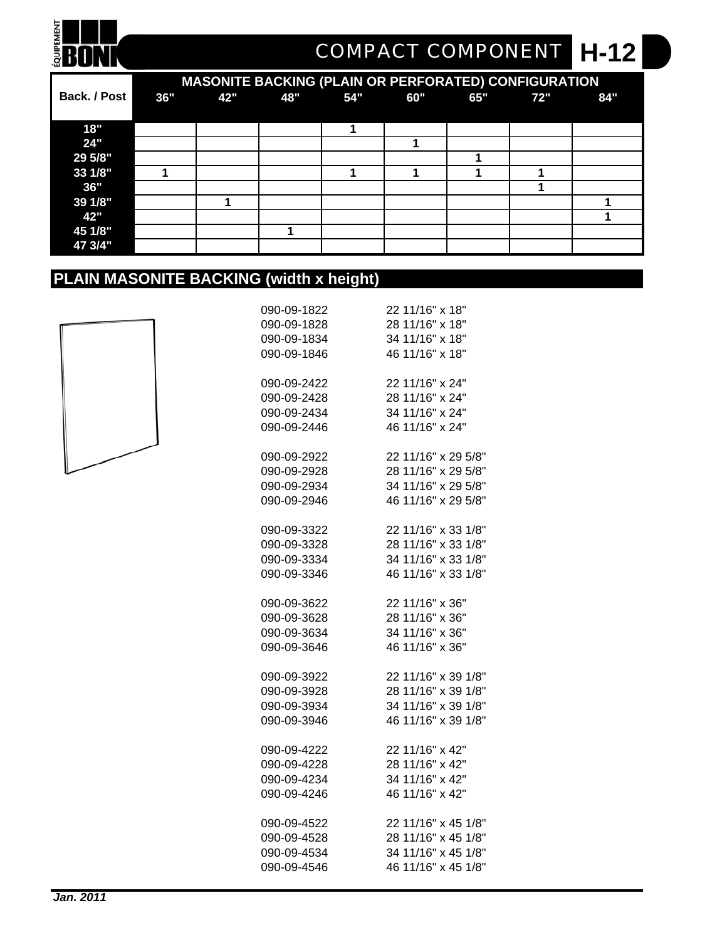# **ENON**

## **H-12** *COMPACT COMPONENT*

|              |     |     |     |     | <b>MASONITE BACKING (PLAIN OR PERFORATED) CONFIGURATION</b> |     |     |     |
|--------------|-----|-----|-----|-----|-------------------------------------------------------------|-----|-----|-----|
| Back. / Post | 36" | 42" | 48" | 54" | 60"                                                         | 65" | 72" | 84" |
|              |     |     |     |     |                                                             |     |     |     |
| 18"          |     |     |     |     |                                                             |     |     |     |
| 24"          |     |     |     |     |                                                             |     |     |     |
| 29 5/8"      |     |     |     |     |                                                             |     |     |     |
| 33 1/8"      |     |     |     |     |                                                             |     |     |     |
| 36"          |     |     |     |     |                                                             |     |     |     |
| 39 1/8"      |     |     |     |     |                                                             |     |     |     |
| 42"          |     |     |     |     |                                                             |     |     |     |
| 45 1/8"      |     |     |     |     |                                                             |     |     |     |
| 47 3/4"      |     |     |     |     |                                                             |     |     |     |

#### **PLAIN MASONITE BACKING (width x height)**



| 090-09-1822 | 22 11/16" x 18"     |
|-------------|---------------------|
| 090-09-1828 | 28 11/16" x 18"     |
| 090-09-1834 | 34 11/16" x 18"     |
| 090-09-1846 | 46 11/16" x 18"     |
|             |                     |
| 090-09-2422 | 22 11/16" x 24"     |
| 090-09-2428 | 28 11/16" x 24"     |
| 090-09-2434 | 34 11/16" x 24"     |
| 090-09-2446 | 46 11/16" x 24"     |
|             |                     |
| 090-09-2922 | 22 11/16" x 29 5/8" |
| 090-09-2928 | 28 11/16" x 29 5/8" |
| 090-09-2934 | 34 11/16" x 29 5/8" |
| 090-09-2946 | 46 11/16" x 29 5/8" |
|             |                     |
| 090-09-3322 | 22 11/16" x 33 1/8" |
| 090-09-3328 | 28 11/16" x 33 1/8" |
| 090-09-3334 | 34 11/16" x 33 1/8" |
| 090-09-3346 | 46 11/16" x 33 1/8" |
|             |                     |
| 090-09-3622 | 22 11/16" x 36"     |
| 090-09-3628 | 28 11/16" x 36"     |
| 090-09-3634 | 34 11/16" x 36"     |
| 090-09-3646 | 46 11/16" x 36"     |
|             |                     |
| 090-09-3922 | 22 11/16" x 39 1/8" |
| 090-09-3928 | 28 11/16" x 39 1/8" |
| 090-09-3934 | 34 11/16" x 39 1/8" |
| 090-09-3946 | 46 11/16" x 39 1/8" |
|             |                     |
| 090-09-4222 | 22 11/16" x 42"     |
| 090-09-4228 | 28 11/16" x 42"     |
| 090-09-4234 | 34 11/16" x 42"     |
| 090-09-4246 | 46 11/16" x 42"     |
| 090-09-4522 | 22 11/16" x 45 1/8" |
| 090-09-4528 | 28 11/16" x 45 1/8" |
| 090-09-4534 | 34 11/16" x 45 1/8" |
| 090-09-4546 | 46 11/16" x 45 1/8" |
|             |                     |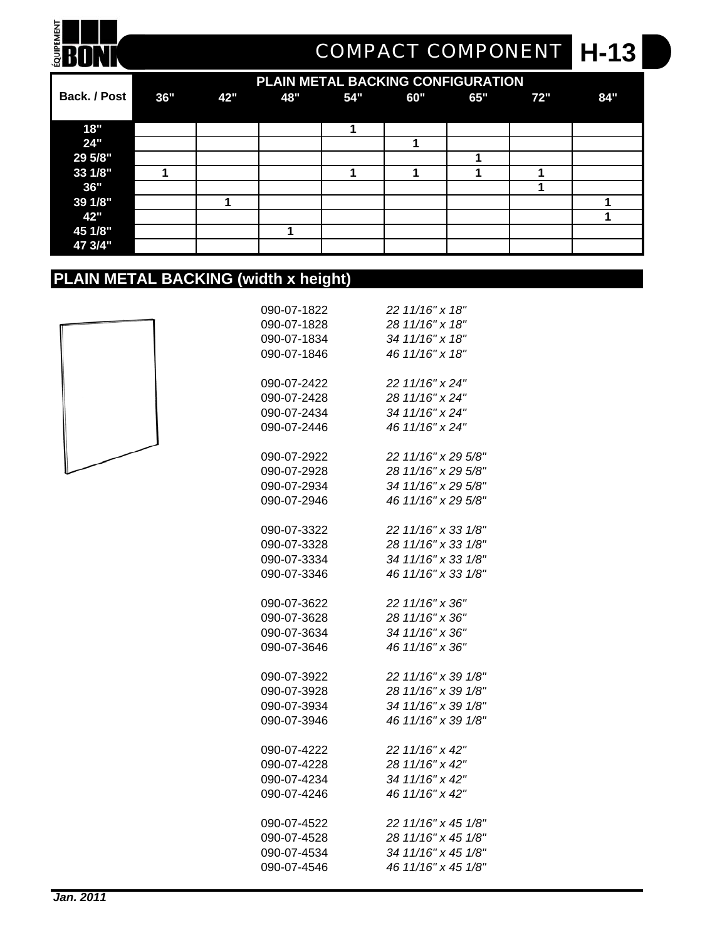## **H-13** *COMPACT COMPONENT*

|              |     |     | PLAIN METAL BACKING CONFIGURATION |     |     |     |     |     |
|--------------|-----|-----|-----------------------------------|-----|-----|-----|-----|-----|
| Back. / Post | 36" | 42" | 48"                               | 54" | 60" | 65" | 72" | 84" |
|              |     |     |                                   |     |     |     |     |     |
| 18"          |     |     |                                   |     |     |     |     |     |
| 24"          |     |     |                                   |     |     |     |     |     |
| 29 5/8"      |     |     |                                   |     |     |     |     |     |
| 33 1/8"      |     |     |                                   |     |     |     |     |     |
| 36"          |     |     |                                   |     |     |     |     |     |
| 39 1/8"      |     |     |                                   |     |     |     |     |     |
| 42"          |     |     |                                   |     |     |     |     |     |
| 45 1/8"      |     |     |                                   |     |     |     |     |     |
| 47 3/4"      |     |     |                                   |     |     |     |     |     |

#### **PLAIN METAL BACKING (width x height)**



**ENON** 

| 090-07-1822 | 22 11/16" x 18"     |
|-------------|---------------------|
| 090-07-1828 | 28 11/16" x 18"     |
| 090-07-1834 | 34 11/16" x 18"     |
| 090-07-1846 | 46 11/16" x 18"     |
|             |                     |
| 090-07-2422 | 22 11/16" x 24"     |
| 090-07-2428 | 28 11/16" x 24"     |
| 090-07-2434 | 34 11/16" x 24"     |
| 090-07-2446 | 46 11/16" x 24"     |
|             |                     |
| 090-07-2922 | 22 11/16" x 29 5/8" |
| 090-07-2928 | 28 11/16" x 29 5/8" |
| 090-07-2934 | 34 11/16" x 29 5/8" |
| 090-07-2946 | 46 11/16" x 29 5/8" |
|             |                     |
| 090-07-3322 | 22 11/16" x 33 1/8" |
| 090-07-3328 | 28 11/16" x 33 1/8" |
| 090-07-3334 | 34 11/16" x 33 1/8" |
| 090-07-3346 | 46 11/16" x 33 1/8" |
| 090-07-3622 | 22 11/16" x 36"     |
| 090-07-3628 | 28 11/16" x 36"     |
| 090-07-3634 | 34 11/16" x 36"     |
| 090-07-3646 | 46 11/16" x 36"     |
|             |                     |
| 090-07-3922 | 22 11/16" x 39 1/8" |
| 090-07-3928 | 28 11/16" x 39 1/8" |
| 090-07-3934 | 34 11/16" x 39 1/8" |
| 090-07-3946 | 46 11/16" x 39 1/8" |
|             |                     |
| 090-07-4222 | 22 11/16" x 42"     |
| 090-07-4228 | 28 11/16" x 42"     |
| 090-07-4234 | 34 11/16" x 42"     |
| 090-07-4246 | 46 11/16" x 42"     |
| 090-07-4522 | 22 11/16" x 45 1/8" |
| 090-07-4528 | 28 11/16" x 45 1/8" |
| 090-07-4534 | 34 11/16" x 45 1/8" |
| 090-07-4546 | 46 11/16" x 45 1/8" |
|             |                     |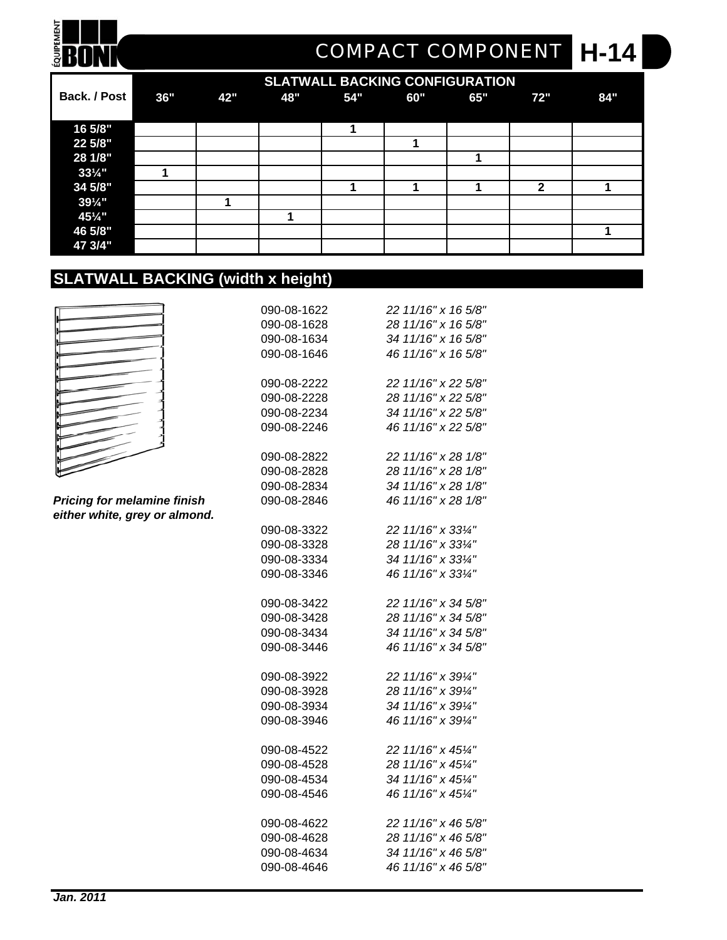## **H-14** *COMPACT COMPONENT*

|                     | <b>SLATWALL BACKING CONFIGURATION</b> |     |     |     |     |     |              |     |
|---------------------|---------------------------------------|-----|-----|-----|-----|-----|--------------|-----|
| <b>Back. / Post</b> | 36"                                   | 42" | 48" | 54" | 60" | 65" | 72"          | 84" |
|                     |                                       |     |     |     |     |     |              |     |
| 16 5/8"             |                                       |     |     |     |     |     |              |     |
| 22 5/8"             |                                       |     |     |     |     |     |              |     |
| 28 1/8"             |                                       |     |     |     |     |     |              |     |
| $33\frac{1}{4}$ "   |                                       |     |     |     |     |     |              |     |
| 34 5/8"             |                                       |     |     |     |     |     | $\mathbf{2}$ |     |
| $39\frac{1}{4}$ "   |                                       |     |     |     |     |     |              |     |
| 451/4"              |                                       |     |     |     |     |     |              |     |
| 46 5/8"             |                                       |     |     |     |     |     |              |     |
| 47 3/4"             |                                       |     |     |     |     |     |              |     |

### **SLATWALL BACKING (width x height)**

|  | ĺ |
|--|---|
|  |   |
|  |   |
|  |   |
|  |   |
|  |   |
|  |   |
|  |   |
|  |   |
|  |   |
|  |   |
|  |   |
|  |   |
|  |   |
|  |   |
|  |   |
|  |   |
|  |   |
|  |   |
|  |   |
|  |   |
|  |   |
|  |   |
|  |   |
|  |   |
|  |   |
|  |   |
|  |   |
|  |   |
|  |   |
|  |   |
|  |   |
|  |   |
|  |   |

**QUIPEMENT** R

 $Pricing for melanine finish$ *either white, grey or almond.*

| 090-08-1622 | 22 11/16" x 16 5/8" |
|-------------|---------------------|
| 090-08-1628 | 28 11/16" x 16 5/8" |
| 090-08-1634 | 34 11/16" x 16 5/8" |
| 090-08-1646 | 46 11/16" x 16 5/8" |
| 090-08-2222 | 22 11/16" x 22 5/8" |
| 090-08-2228 | 28 11/16" x 22 5/8" |
| 090-08-2234 | 34 11/16" x 22 5/8" |
| 090-08-2246 | 46 11/16" x 22 5/8" |
| 090-08-2822 | 22 11/16" x 28 1/8" |
| 090-08-2828 | 28 11/16" x 28 1/8" |
| 090-08-2834 | 34 11/16" x 28 1/8" |
| 090-08-2846 | 46 11/16" x 28 1/8" |
| 090-08-3322 | 22 11/16" x 331/4"  |
| 090-08-3328 | 28 11/16" x 331/4"  |
| 090-08-3334 | 34 11/16" x 331/4"  |
| 090-08-3346 | 46 11/16" x 331/4"  |
| 090-08-3422 | 22 11/16" x 34 5/8" |
| 090-08-3428 | 28 11/16" x 34 5/8" |
| 090-08-3434 | 34 11/16" x 34 5/8" |
| 090-08-3446 | 46 11/16" x 34 5/8" |
| 090-08-3922 | 22 11/16" x 391/4"  |
| 090-08-3928 | 28 11/16" x 391/4"  |
| 090-08-3934 | 34 11/16" x 391/4"  |
| 090-08-3946 | 46 11/16" x 391/4"  |
| 090-08-4522 | 22 11/16" x 451/4"  |
| 090-08-4528 | 28 11/16" x 451/4"  |
| 090-08-4534 | 34 11/16" x 451/4"  |
| 090-08-4546 | 46 11/16" x 451/4"  |
| 090-08-4622 | 22 11/16" x 46 5/8" |
| 090-08-4628 | 28 11/16" x 46 5/8" |
| 090-08-4634 | 34 11/16" x 46 5/8" |
| 090-08-4646 | 46 11/16" x 46 5/8" |